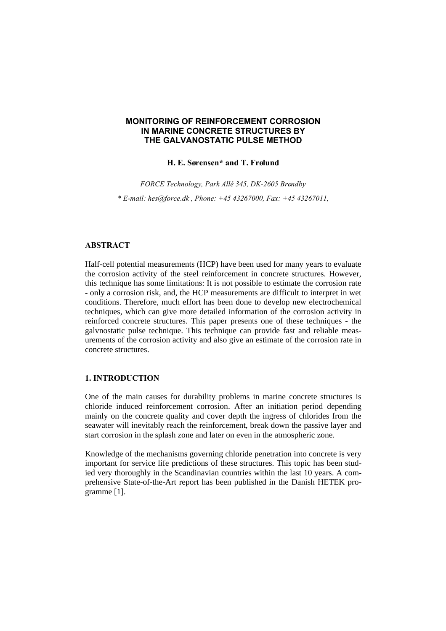## **MONITORING OF REINFORCEMENT CORROSION IN MARINE CONCRETE STRUCTURES BY THE GALVANOSTATIC PULSE METHOD**

### **H. E. Sørensen\* and T. Frølund**

*FORCE Technology, Park Allé 345, DK-2605 Brøndby*

*\* E-mail: hes@force.dk , Phone: +45 43267000, Fax: +45 43267011,*

### **ABSTRACT**

Half-cell potential measurements (HCP) have been used for many years to evaluate the corrosion activity of the steel reinforcement in concrete structures. However, this technique has some limitations: It is not possible to estimate the corrosion rate - only a corrosion risk, and, the HCP measurements are difficult to interpret in wet conditions. Therefore, much effort has been done to develop new electrochemical techniques, which can give more detailed information of the corrosion activity in reinforced concrete structures. This paper presents one of these techniques - the galvnostatic pulse technique. This technique can provide fast and reliable measurements of the corrosion activity and also give an estimate of the corrosion rate in concrete structures.

### **1. INTRODUCTION**

One of the main causes for durability problems in marine concrete structures is chloride induced reinforcement corrosion. After an initiation period depending mainly on the concrete quality and cover depth the ingress of chlorides from the seawater will inevitably reach the reinforcement, break down the passive layer and start corrosion in the splash zone and later on even in the atmospheric zone.

Knowledge of the mechanisms governing chloride penetration into concrete is very important for service life predictions of these structures. This topic has been studied very thoroughly in the Scandinavian countries within the last 10 years. A comprehensive State-of-the-Art report has been published in the Danish HETEK programme [1].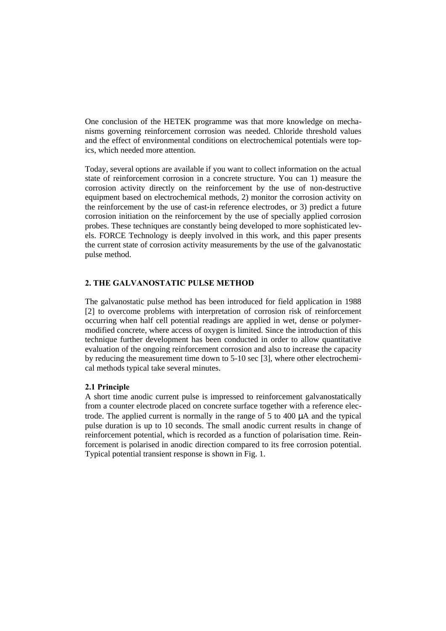One conclusion of the HETEK programme was that more knowledge on mechanisms governing reinforcement corrosion was needed. Chloride threshold values and the effect of environmental conditions on electrochemical potentials were topics, which needed more attention.

Today, several options are available if you want to collect information on the actual state of reinforcement corrosion in a concrete structure. You can 1) measure the corrosion activity directly on the reinforcement by the use of non-destructive equipment based on electrochemical methods, 2) monitor the corrosion activity on the reinforcement by the use of cast-in reference electrodes, or 3) predict a future corrosion initiation on the reinforcement by the use of specially applied corrosion probes. These techniques are constantly being developed to more sophisticated levels. FORCE Technology is deeply involved in this work, and this paper presents the current state of corrosion activity measurements by the use of the galvanostatic pulse method.

## **2. THE GALVANOSTATIC PULSE METHOD**

The galvanostatic pulse method has been introduced for field application in 1988 [2] to overcome problems with interpretation of corrosion risk of reinforcement occurring when half cell potential readings are applied in wet, dense or polymermodified concrete, where access of oxygen is limited. Since the introduction of this technique further development has been conducted in order to allow quantitative evaluation of the ongoing reinforcement corrosion and also to increase the capacity by reducing the measurement time down to 5-10 sec [3], where other electrochemical methods typical take several minutes.

### **2.1 Principle**

A short time anodic current pulse is impressed to reinforcement galvanostatically from a counter electrode placed on concrete surface together with a reference electrode. The applied current is normally in the range of 5 to 400 μA and the typical pulse duration is up to 10 seconds. The small anodic current results in change of reinforcement potential, which is recorded as a function of polarisation time. Reinforcement is polarised in anodic direction compared to its free corrosion potential. Typical potential transient response is shown in Fig. 1.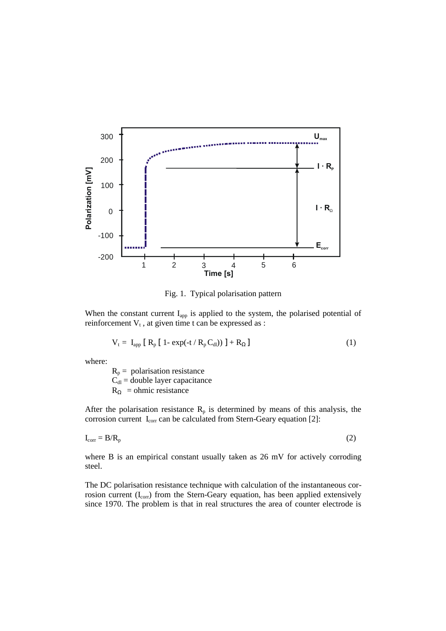

Fig. 1. Typical polarisation pattern

When the constant current  $I_{app}$  is applied to the system, the polarised potential of reinforcement  $V_t$ , at given time t can be expressed as :

$$
V_t = I_{app} [ R_p [ 1 - exp(-t / R_p C_{dl})) ] + R_{\Omega} ]
$$
 (1)

where:

 $R_p$  = polarisation resistance  $\tilde{C}_{dl}$  = double layer capacitance  $R_{\Omega}$  = ohmic resistance

After the polarisation resistance  $R_p$  is determined by means of this analysis, the corrosion current  $I_{\text{corr}}$  can be calculated from Stern-Geary equation [2]:

$$
I_{\text{corr}} = B/R_p \tag{2}
$$

where B is an empirical constant usually taken as 26 mV for actively corroding steel.

The DC polarisation resistance technique with calculation of the instantaneous corrosion current (I<sub>corr</sub>) from the Stern-Geary equation, has been applied extensively since 1970. The problem is that in real structures the area of counter electrode is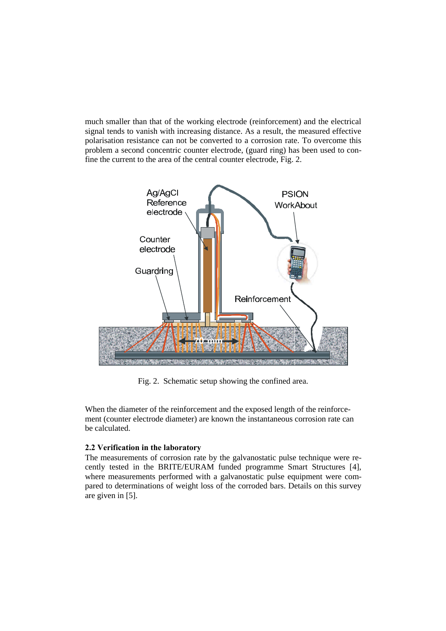much smaller than that of the working electrode (reinforcement) and the electrical signal tends to vanish with increasing distance. As a result, the measured effective polarisation resistance can not be converted to a corrosion rate. To overcome this problem a second concentric counter electrode, (guard ring) has been used to confine the current to the area of the central counter electrode, Fig. 2.



Fig. 2. Schematic setup showing the confined area.

When the diameter of the reinforcement and the exposed length of the reinforcement (counter electrode diameter) are known the instantaneous corrosion rate can be calculated.

## **2.2 Verification in the laboratory**

The measurements of corrosion rate by the galvanostatic pulse technique were recently tested in the BRITE/EURAM funded programme Smart Structures [4], where measurements performed with a galvanostatic pulse equipment were compared to determinations of weight loss of the corroded bars. Details on this survey are given in [5].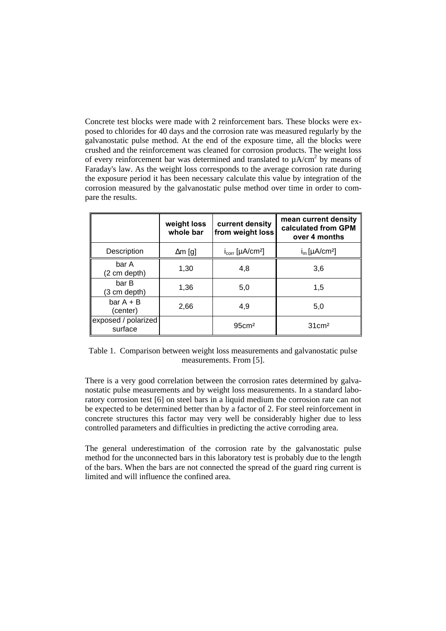Concrete test blocks were made with 2 reinforcement bars. These blocks were exposed to chlorides for 40 days and the corrosion rate was measured regularly by the galvanostatic pulse method. At the end of the exposure time, all the blocks were crushed and the reinforcement was cleaned for corrosion products. The weight loss of every reinforcement bar was determined and translated to  $\mu A/cm^2$  by means of Faraday's law. As the weight loss corresponds to the average corrosion rate during the exposure period it has been necessary calculate this value by integration of the corrosion measured by the galvanostatic pulse method over time in order to compare the results.

|                                | weight loss<br>whole bar | current density<br>from weight loss | mean current density<br>calculated from GPM<br>over 4 months |
|--------------------------------|--------------------------|-------------------------------------|--------------------------------------------------------------|
| Description                    | $\Delta m$ [g]           | $i_{corr}$ [µA/cm <sup>2</sup> ]    | $i_m$ [µA/cm <sup>2</sup> ]                                  |
| bar A<br>(2 cm depth)          | 1,30                     | 4.8                                 | 3,6                                                          |
| bar B<br>(3 cm depth)          | 1,36                     | 5,0                                 | 1,5                                                          |
| $bar A + B$<br>(center)        | 2,66                     | 4,9                                 | 5,0                                                          |
| exposed / polarized<br>surface |                          | 95cm <sup>2</sup>                   | $31 \text{cm}^2$                                             |

Table 1. Comparison between weight loss measurements and galvanostatic pulse measurements. From [5].

There is a very good correlation between the corrosion rates determined by galvanostatic pulse measurements and by weight loss measurements. In a standard laboratory corrosion test [6] on steel bars in a liquid medium the corrosion rate can not be expected to be determined better than by a factor of 2. For steel reinforcement in concrete structures this factor may very well be considerably higher due to less controlled parameters and difficulties in predicting the active corroding area.

The general underestimation of the corrosion rate by the galvanostatic pulse method for the unconnected bars in this laboratory test is probably due to the length of the bars. When the bars are not connected the spread of the guard ring current is limited and will influence the confined area.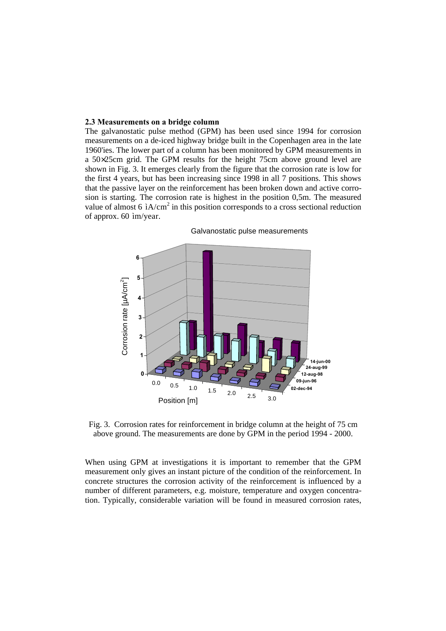#### **2.3 Measurements on a bridge column**

The galvanostatic pulse method (GPM) has been used since 1994 for corrosion measurements on a de-iced highway bridge built in the Copenhagen area in the late 1960'ies. The lower part of a column has been monitored by GPM measurements in a 50×25cm grid. The GPM results for the height 75cm above ground level are shown in Fig. 3. It emerges clearly from the figure that the corrosion rate is low for the first 4 years, but has been increasing since 1998 in all 7 positions. This shows that the passive layer on the reinforcement has been broken down and active corrosion is starting. The corrosion rate is highest in the position 0,5m. The measured value of almost 6  $\mathrm{i}A/\mathrm{cm}^2$  in this position corresponds to a cross sectional reduction of approx. 60 ìm/year.



Galvanostatic pulse measurements

Fig. 3. Corrosion rates for reinforcement in bridge column at the height of 75 cm above ground. The measurements are done by GPM in the period 1994 - 2000.

When using GPM at investigations it is important to remember that the GPM measurement only gives an instant picture of the condition of the reinforcement. In concrete structures the corrosion activity of the reinforcement is influenced by a number of different parameters, e.g. moisture, temperature and oxygen concentration. Typically, considerable variation will be found in measured corrosion rates,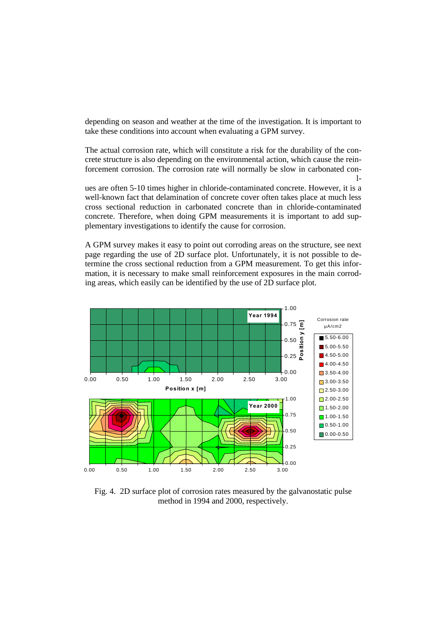depending on season and weather at the time of the investigation. It is important to take these conditions into account when evaluating a GPM survey.

The actual corrosion rate, which will constitute a risk for the durability of the concrete structure is also depending on the environmental action, which cause the reinforcement corrosion. The corrosion rate will normally be slow in carbonated con- $1$ 

ues are often 5-10 times higher in chloride-contaminated concrete. However, it is a well-known fact that delamination of concrete cover often takes place at much less cross sectional reduction in carbonated concrete than in chloride-contaminated concrete. Therefore, when doing GPM measurements it is important to add supplementary investigations to identify the cause for corrosion.

A GPM survey makes it easy to point out corroding areas on the structure, see next page regarding the use of 2D surface plot. Unfortunately, it is not possible to determine the cross sectional reduction from a GPM measurement. To get this information, it is necessary to make small reinforcement exposures in the main corroding areas, which easily can be identified by the use of 2D surface plot.



Fig. 4. 2D surface plot of corrosion rates measured by the galvanostatic pulse method in 1994 and 2000, respectively.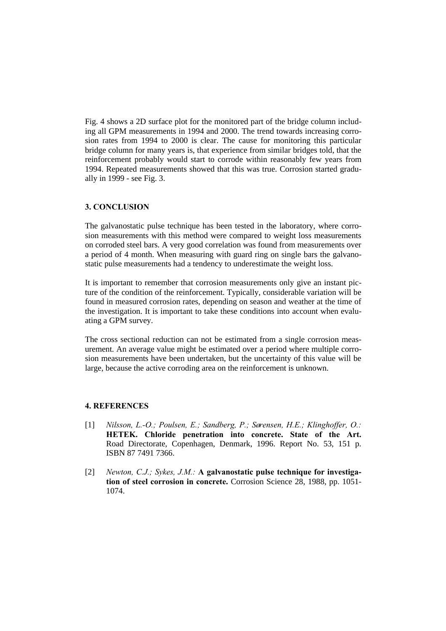Fig. 4 shows a 2D surface plot for the monitored part of the bridge column including all GPM measurements in 1994 and 2000. The trend towards increasing corrosion rates from 1994 to 2000 is clear. The cause for monitoring this particular bridge column for many years is, that experience from similar bridges told, that the reinforcement probably would start to corrode within reasonably few years from 1994. Repeated measurements showed that this was true. Corrosion started gradually in 1999 - see Fig. 3.

# **3. CONCLUSION**

The galvanostatic pulse technique has been tested in the laboratory, where corrosion measurements with this method were compared to weight loss measurements on corroded steel bars. A very good correlation was found from measurements over a period of 4 month. When measuring with guard ring on single bars the galvanostatic pulse measurements had a tendency to underestimate the weight loss.

It is important to remember that corrosion measurements only give an instant picture of the condition of the reinforcement. Typically, considerable variation will be found in measured corrosion rates, depending on season and weather at the time of the investigation. It is important to take these conditions into account when evaluating a GPM survey.

The cross sectional reduction can not be estimated from a single corrosion measurement. An average value might be estimated over a period where multiple corrosion measurements have been undertaken, but the uncertainty of this value will be large, because the active corroding area on the reinforcement is unknown.

## **4. REFERENCES**

- [1] *Nilsson, L.-O.; Poulsen, E.; Sandberg, P.; Sørensen, H.E.; Klinghoffer, O.:* **HETEK. Chloride penetration into concrete. State of the Art.** Road Directorate, Copenhagen, Denmark, 1996. Report No. 53, 151 p. ISBN 87 7491 7366.
- [2] *Newton, C.J.; Sykes, J.M.:* **A galvanostatic pulse technique for investigation of steel corrosion in concrete.** Corrosion Science 28, 1988, pp. 1051- 1074.